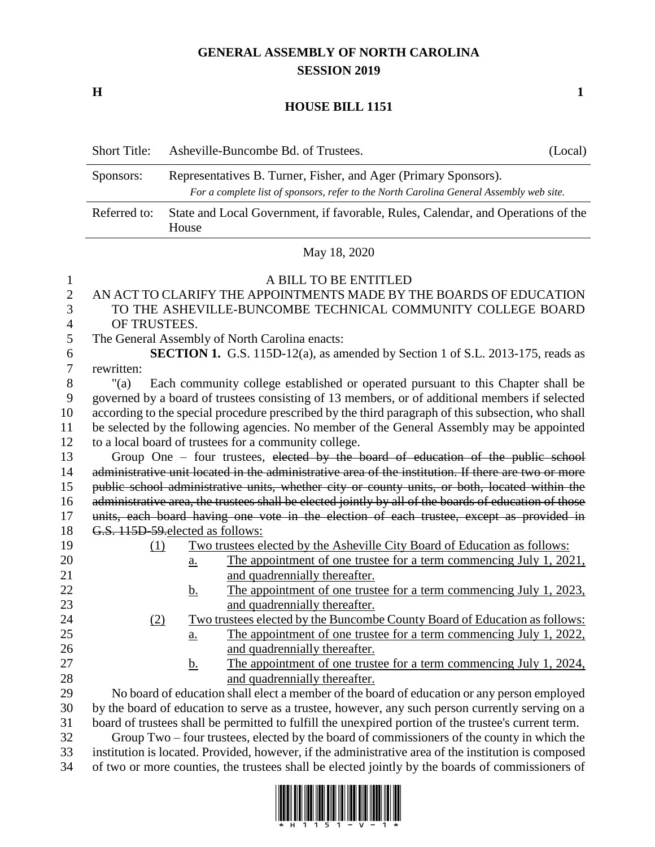## **GENERAL ASSEMBLY OF NORTH CAROLINA SESSION 2019**

**H 1**

## **HOUSE BILL 1151**

|                                          | <b>Short Title:</b>                                                                                                                                                        | Asheville-Buncombe Bd. of Trustees.                                                                   | (Local) |
|------------------------------------------|----------------------------------------------------------------------------------------------------------------------------------------------------------------------------|-------------------------------------------------------------------------------------------------------|---------|
|                                          | Representatives B. Turner, Fisher, and Ager (Primary Sponsors).<br>Sponsors:<br>For a complete list of sponsors, refer to the North Carolina General Assembly web site.    |                                                                                                       |         |
|                                          | Referred to:                                                                                                                                                               | State and Local Government, if favorable, Rules, Calendar, and Operations of the<br>House             |         |
|                                          | May 18, 2020                                                                                                                                                               |                                                                                                       |         |
| $\mathbf{1}$<br>$\overline{2}$<br>3<br>4 | A BILL TO BE ENTITLED<br>AN ACT TO CLARIFY THE APPOINTMENTS MADE BY THE BOARDS OF EDUCATION<br>TO THE ASHEVILLE-BUNCOMBE TECHNICAL COMMUNITY COLLEGE BOARD<br>OF TRUSTEES. |                                                                                                       |         |
| 5                                        |                                                                                                                                                                            | The General Assembly of North Carolina enacts:                                                        |         |
| 6                                        |                                                                                                                                                                            | SECTION 1. G.S. 115D-12(a), as amended by Section 1 of S.L. 2013-175, reads as                        |         |
| 7                                        | rewritten:                                                                                                                                                                 |                                                                                                       |         |
| 8                                        | " $(a)$                                                                                                                                                                    | Each community college established or operated pursuant to this Chapter shall be                      |         |
| 9                                        |                                                                                                                                                                            | governed by a board of trustees consisting of 13 members, or of additional members if selected        |         |
| 10                                       | according to the special procedure prescribed by the third paragraph of this subsection, who shall                                                                         |                                                                                                       |         |
| 11<br>12                                 | be selected by the following agencies. No member of the General Assembly may be appointed<br>to a local board of trustees for a community college.                         |                                                                                                       |         |
| 13                                       | Group One – four trustees, elected by the board of education of the public school                                                                                          |                                                                                                       |         |
| 14                                       | administrative unit located in the administrative area of the institution. If there are two or more                                                                        |                                                                                                       |         |
| 15                                       | public school administrative units, whether city or county units, or both, located within the                                                                              |                                                                                                       |         |
| 16                                       |                                                                                                                                                                            | administrative area, the trustees shall be elected jointly by all of the boards of education of those |         |
| 17                                       |                                                                                                                                                                            | units, each board having one vote in the election of each trustee, except as provided in              |         |
| 18                                       | G.S. 115D-59-elected as follows:                                                                                                                                           |                                                                                                       |         |
| 19                                       | (1)                                                                                                                                                                        | Two trustees elected by the Asheville City Board of Education as follows:                             |         |
| 20                                       |                                                                                                                                                                            | The appointment of one trustee for a term commencing July 1, 2021,<br>$\underline{a}$ .               |         |
| 21                                       |                                                                                                                                                                            | and quadrennially thereafter.                                                                         |         |
| 22                                       |                                                                                                                                                                            | The appointment of one trustee for a term commencing July 1, 2023,<br><u>b.</u>                       |         |
| 23                                       |                                                                                                                                                                            | and quadrennially thereafter.                                                                         |         |
| 24                                       | (2)                                                                                                                                                                        | Two trustees elected by the Buncombe County Board of Education as follows:                            |         |
| 25                                       |                                                                                                                                                                            | The appointment of one trustee for a term commencing July 1, 2022,<br><u>a.</u>                       |         |
| 26                                       |                                                                                                                                                                            | and quadrennially thereafter.                                                                         |         |
| 27                                       |                                                                                                                                                                            | The appointment of one trustee for a term commencing July 1, 2024,<br><u>b.</u>                       |         |
| 28                                       |                                                                                                                                                                            | and quadrennially thereafter.                                                                         |         |
| 29                                       | No board of education shall elect a member of the board of education or any person employed                                                                                |                                                                                                       |         |
| 30                                       | by the board of education to serve as a trustee, however, any such person currently serving on a                                                                           |                                                                                                       |         |
| 31                                       |                                                                                                                                                                            | board of trustees shall be permitted to fulfill the unexpired portion of the trustee's current term.  |         |
| 32                                       |                                                                                                                                                                            | Group Two - four trustees, elected by the board of commissioners of the county in which the           |         |
| 33                                       |                                                                                                                                                                            | institution is located. Provided, however, if the administrative area of the institution is composed  |         |
| 34                                       |                                                                                                                                                                            | of two or more counties, the trustees shall be elected jointly by the boards of commissioners of      |         |